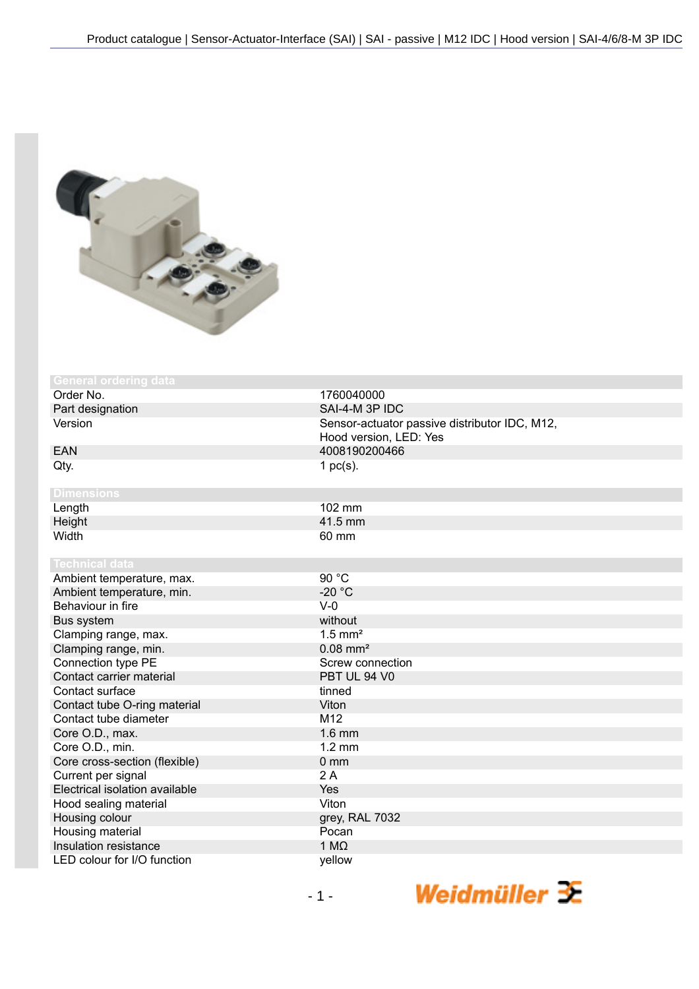

| <b>General ordering data</b>   |                                               |
|--------------------------------|-----------------------------------------------|
| Order No.                      | 1760040000                                    |
| Part designation               | SAI-4-M 3P IDC                                |
| Version                        | Sensor-actuator passive distributor IDC, M12, |
|                                | Hood version, LED: Yes                        |
| <b>EAN</b>                     | 4008190200466                                 |
| Qty.                           | 1 $pc(s)$ .                                   |
|                                |                                               |
| <b>Dimensions</b>              |                                               |
| Length                         | 102 mm                                        |
| Height                         | 41.5 mm                                       |
| Width                          | 60 mm                                         |
|                                |                                               |
| <b>Technical data</b>          |                                               |
| Ambient temperature, max.      | 90 °C                                         |
| Ambient temperature, min.      | $-20 °C$                                      |
| Behaviour in fire              | $V-0$                                         |
| Bus system                     | without                                       |
| Clamping range, max.           | $1.5$ mm <sup>2</sup>                         |
| Clamping range, min.           | $0.08$ mm <sup>2</sup>                        |
| Connection type PE             | Screw connection                              |
| Contact carrier material       | PBT UL 94 V0                                  |
| Contact surface                | tinned                                        |
| Contact tube O-ring material   | Viton                                         |
| Contact tube diameter          | M <sub>12</sub>                               |
| Core O.D., max.                | $1.6$ mm                                      |
| Core O.D., min.                | $1.2 \text{ mm}$                              |
| Core cross-section (flexible)  | $0 \, \text{mm}$                              |
| Current per signal             | 2A                                            |
| Electrical isolation available | Yes                                           |
| Hood sealing material          | Viton                                         |
| Housing colour                 | grey, RAL 7032                                |
| Housing material               | Pocan                                         |
| Insulation resistance          | 1 $M\Omega$                                   |
| LED colour for I/O function    | yellow                                        |